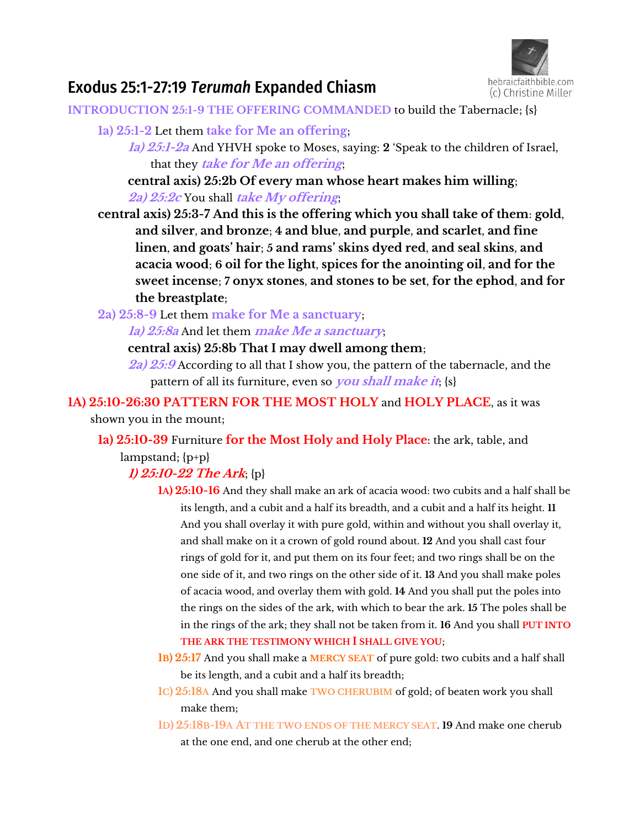

# Exodus 25:1-27:19 *Terumah* Expanded Chiasm

**INTRODUCTION 25:1-9 THE OFFERING COMMANDED** to build the Tabernacle; {s}

- **1a) 25:1-2** Let them **take for Me an offering**;
	- **1a) 25:1-2a** And YHVH spoke to Moses, saying: **2** 'Speak to the children of Israel, that they **take for Me an offering**;

**central axis) 25:2b Of every man whose heart makes him willing**; **2a) 25:2c** You shall **take My offering**;

**central axis) 25:3-7 And this is the offering which you shall take of them**: **gold**, **and silver**, **and bronze**; **4 and blue**, **and purple**, **and scarlet**, **and fine**  linen, and goats' hair; 5 and rams' skins dyed red, and seal skins, and **acacia wood**; **6 oil for the light**, **spices for the anointing oil**, **and for the sweet incense**; **7 onyx stones**, **and stones to be set**, **for the ephod**, **and for the breastplate**;

**2a) 25:8-9** Let them **make for Me a sanctuary**;

**1a) 25:8a** And let them **make Me a sanctuary**;

**central axis) 25:8b That I may dwell among them**;

**2a) 25:9** According to all that I show you, the pattern of the tabernacle, and the pattern of all its furniture, even so **you shall make it**; {s}

**1A) 25:10-26:30 PATTERN FOR THE MOST HOLY** and **HOLY PLACE**, as it was shown you in the mount;

**1a) 25:10-39** Furniture **for the Most Holy and Holy Place**: the ark, table, and lampstand; {p+p}

## **1) 25:10-22 The Ark**; {p}

- **1A) 25:10-16** And they shall make an ark of acacia wood: two cubits and a half shall be its length, and a cubit and a half its breadth, and a cubit and a half its height. **11** And you shall overlay it with pure gold, within and without you shall overlay it, and shall make on it a crown of gold round about. **12** And you shall cast four rings of gold for it, and put them on its four feet; and two rings shall be on the one side of it, and two rings on the other side of it. **13** And you shall make poles of acacia wood, and overlay them with gold. **14** And you shall put the poles into the rings on the sides of the ark, with which to bear the ark. **15** The poles shall be in the rings of the ark; they shall not be taken from it. **16** And you shall **PUT INTO THE ARK THE TESTIMONY WHICH I SHALL GIVE YOU**;
- **1B) 25:17** And you shall make a **MERCY SEAT** of pure gold: two cubits and a half shall be its length, and a cubit and a half its breadth;
- **1C) 25:18A** And you shall make **TWO CHERUBIM** of gold; of beaten work you shall make them;
- **1D) 25:18B-19A AT THE TWO ENDS OF THE MERCY SEAT**. **19** And make one cherub at the one end, and one cherub at the other end;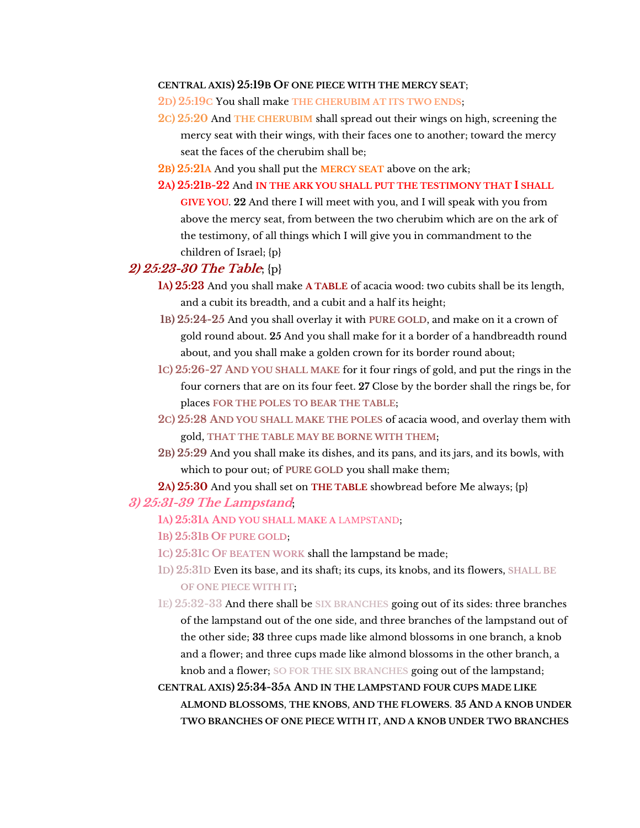#### **CENTRAL AXIS) 25:19B OF ONE PIECE WITH THE MERCY SEAT**;

**2D) 25:19C** You shall make **THE CHERUBIM AT ITS TWO ENDS**;

- **2C) 25:20** And **THE CHERUBIM** shall spread out their wings on high, screening the mercy seat with their wings, with their faces one to another; toward the mercy seat the faces of the cherubim shall be;
- **2B) 25:21A** And you shall put the **MERCY SEAT** above on the ark;
- **2A) 25:21B-22** And **IN THE ARK YOU SHALL PUT THE TESTIMONY THAT I SHALL GIVE YOU**. **22** And there I will meet with you, and I will speak with you from above the mercy seat, from between the two cherubim which are on the ark of the testimony, of all things which I will give you in commandment to the children of Israel; {p}

### **2) 25:23-30 The Table**; {p}

- **1A) 25:23** And you shall make **A TABLE** of acacia wood: two cubits shall be its length, and a cubit its breadth, and a cubit and a half its height;
- **1B) 25:24-25** And you shall overlay it with **PURE GOLD**, and make on it a crown of gold round about. **25** And you shall make for it a border of a handbreadth round about, and you shall make a golden crown for its border round about;
- **1C) 25:26-27 AND YOU SHALL MAKE** for it four rings of gold, and put the rings in the four corners that are on its four feet. **27** Close by the border shall the rings be, for places **FOR THE POLES TO BEAR THE TABLE**;
- **2C) 25:28 AND YOU SHALL MAKE THE POLES** of acacia wood, and overlay them with gold, **THAT THE TABLE MAY BE BORNE WITH THEM**;
- **2B) 25:29** And you shall make its dishes, and its pans, and its jars, and its bowls, with which to pour out; of **PURE GOLD** you shall make them;

#### **2A) 25:30** And you shall set on **THE TABLE** showbread before Me always; {p}

#### **3) 25:31-39 The Lampstand**;

- **1A) 25:31A AND YOU SHALL MAKE A** LAMPSTAND;
- **1B) 25:31B OF PURE GOLD**;
- **1C) 25:31C OF BEATEN WORK** shall the lampstand be made;
- **1D) 25:31D** Even its base, and its shaft; its cups, its knobs, and its flowers, **SHALL BE OF ONE PIECE WITH IT**;
- **1E) 25:32-33** And there shall be **SIX BRANCHES** going out of its sides: three branches of the lampstand out of the one side, and three branches of the lampstand out of the other side; **33** three cups made like almond blossoms in one branch, a knob and a flower; and three cups made like almond blossoms in the other branch, a knob and a flower; **SO FOR THE SIX BRANCHES** going out of the lampstand;
- **CENTRAL AXIS) 25:34-35A AND IN THE LAMPSTAND FOUR CUPS MADE LIKE ALMOND BLOSSOMS**, **THE KNOBS**, **AND THE FLOWERS**. **35 AND A KNOB UNDER TWO BRANCHES OF ONE PIECE WITH IT**, **AND A KNOB UNDER TWO BRANCHES**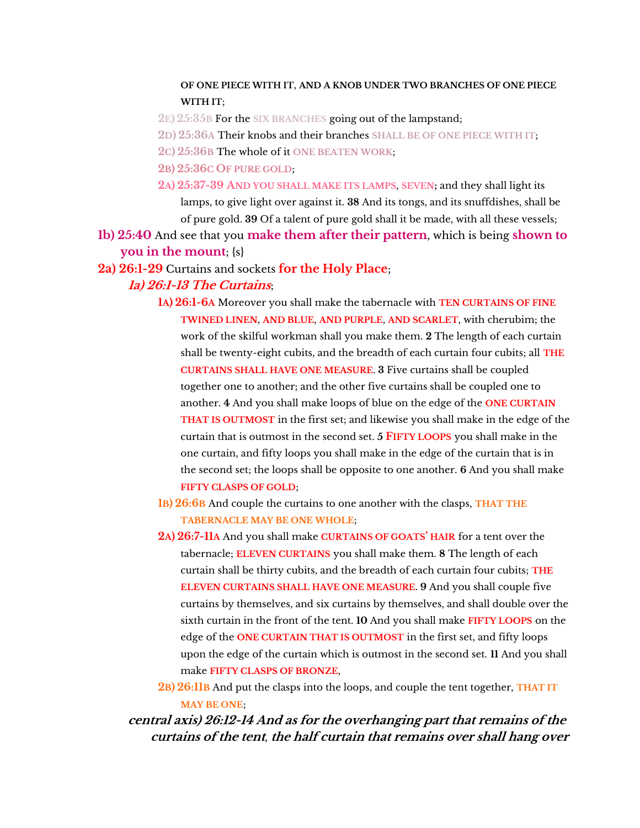### **OF ONE PIECE WITH IT**, **AND A KNOB UNDER TWO BRANCHES OF ONE PIECE WITH IT**;

- **2E) 25:35B** For the **SIX BRANCHES** going out of the lampstand;
- **2D) 25:36A** Their knobs and their branches **SHALL BE OF ONE PIECE WITH IT**;
- **2C) 25:36B** The whole of it **ONE BEATEN WORK**;
- **2B) 25:36C OF PURE GOLD**;
- **2A) 25:37-39 AND YOU SHALL MAKE ITS LAMPS**, **SEVEN;** and they shall light its lamps, to give light over against it. **38** And its tongs, and its snuffdishes, shall be of pure gold. **39** Of a talent of pure gold shall it be made, with all these vessels;
- **1b) 25:40** And see that you **make them after their pattern**, which is being **shown to you in the mount**; {s}
- **2a) 26:1-29** Curtains and sockets **for the Holy Place**;

### **1a) 26:1-13 The Curtains**;

- **1A) 26:1-6A** Moreover you shall make the tabernacle with **TEN CURTAINS OF FINE TWINED LINEN**, **AND BLUE**, **AND PURPLE**, **AND SCARLET**, with cherubim; the work of the skilful workman shall you make them. **2** The length of each curtain shall be twenty-eight cubits, and the breadth of each curtain four cubits; all **THE CURTAINS SHALL HAVE ONE MEASURE**. **3** Five curtains shall be coupled together one to another; and the other five curtains shall be coupled one to another. **4** And you shall make loops of blue on the edge of the **ONE CURTAIN THAT IS OUTMOST** in the first set; and likewise you shall make in the edge of the curtain that is outmost in the second set. **5 FIFTY LOOPS** you shall make in the one curtain, and fifty loops you shall make in the edge of the curtain that is in the second set; the loops shall be opposite to one another. **6** And you shall make **FIFTY CLASPS OF GOLD**;
- **1B) 26:6B** And couple the curtains to one another with the clasps, **THAT THE TABERNACLE MAY BE ONE WHOLE**;
- **2A) 26:7-11A** And you shall make **CURTAINS OF GOATS' HAIR** for a tent over the tabernacle; **ELEVEN CURTAINS** you shall make them. **8** The length of each curtain shall be thirty cubits, and the breadth of each curtain four cubits; **THE ELEVEN CURTAINS SHALL HAVE ONE MEASURE**. **9** And you shall couple five curtains by themselves, and six curtains by themselves, and shall double over the sixth curtain in the front of the tent. **10** And you shall make **FIFTY LOOPS** on the edge of the **ONE CURTAIN THAT IS OUTMOST** in the first set, and fifty loops upon the edge of the curtain which is outmost in the second set. **11** And you shall make **FIFTY CLASPS OF BRONZE**,
- **2B) 26:11B** And put the clasps into the loops, and couple the tent together, **THAT IT MAY BE ONE**;

## **central axis) 26:12-14 And as for the overhanging part that remains of the curtains of the tent**, **the half curtain that remains over shall hang over**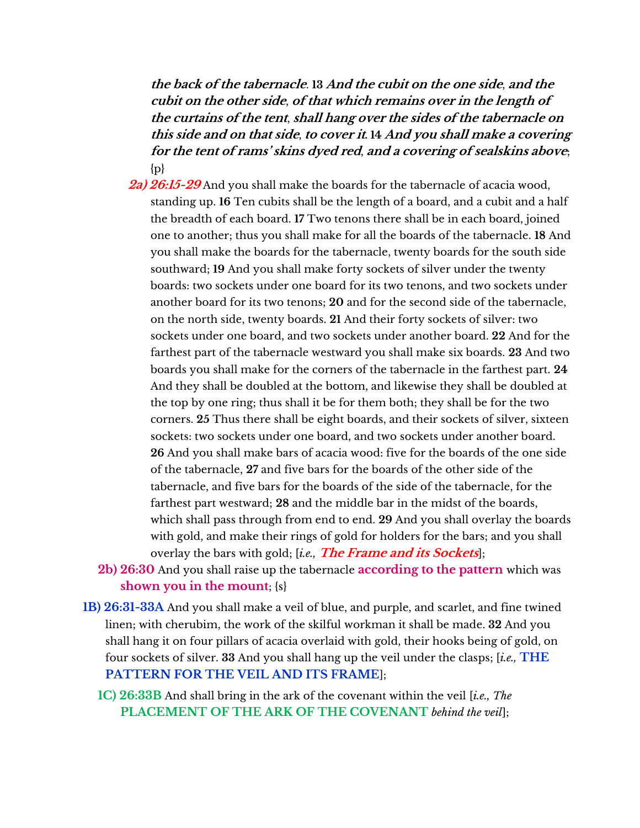**the back of the tabernacle**. **13 And the cubit on the one side**, **and the cubit on the other side**, **of that which remains over in the length of the curtains of the tent**, **shall hang over the sides of the tabernacle on this side and on that side**, **to cover it. 14 And you shall make a covering** for the tent of rams' skins dyed red, and a covering of sealskins above;  $\{p\}$ 

- **2a) 26:15-29** And you shall make the boards for the tabernacle of acacia wood, standing up. **16** Ten cubits shall be the length of a board, and a cubit and a half the breadth of each board. **17** Two tenons there shall be in each board, joined one to another; thus you shall make for all the boards of the tabernacle. **18** And you shall make the boards for the tabernacle, twenty boards for the south side southward; **19** And you shall make forty sockets of silver under the twenty boards: two sockets under one board for its two tenons, and two sockets under another board for its two tenons; **20** and for the second side of the tabernacle, on the north side, twenty boards. **21** And their forty sockets of silver: two sockets under one board, and two sockets under another board. **22** And for the farthest part of the tabernacle westward you shall make six boards. **23** And two boards you shall make for the corners of the tabernacle in the farthest part. **24** And they shall be doubled at the bottom, and likewise they shall be doubled at the top by one ring; thus shall it be for them both; they shall be for the two corners. **25** Thus there shall be eight boards, and their sockets of silver, sixteen sockets: two sockets under one board, and two sockets under another board. **26** And you shall make bars of acacia wood: five for the boards of the one side of the tabernacle, **27** and five bars for the boards of the other side of the tabernacle, and five bars for the boards of the side of the tabernacle, for the farthest part westward; **28** and the middle bar in the midst of the boards, which shall pass through from end to end. **29** And you shall overlay the boards with gold, and make their rings of gold for holders for the bars; and you shall overlay the bars with gold; [*i.e.,* **The Frame and its Sockets**];
- **2b) 26:30** And you shall raise up the tabernacle **according to the pattern** which was **shown you in the mount**; {s}
- **1B) 26:31-33A** And you shall make a veil of blue, and purple, and scarlet, and fine twined linen; with cherubim, the work of the skilful workman it shall be made. **32** And you shall hang it on four pillars of acacia overlaid with gold, their hooks being of gold, on four sockets of silver. **33** And you shall hang up the veil under the clasps; [*i.e.,* **THE PATTERN FOR THE VEIL AND ITS FRAME**];
	- **1C) 26:33B** And shall bring in the ark of the covenant within the veil [*i.e., The* **PLACEMENT OF THE ARK OF THE COVENANT** *behind the veil*];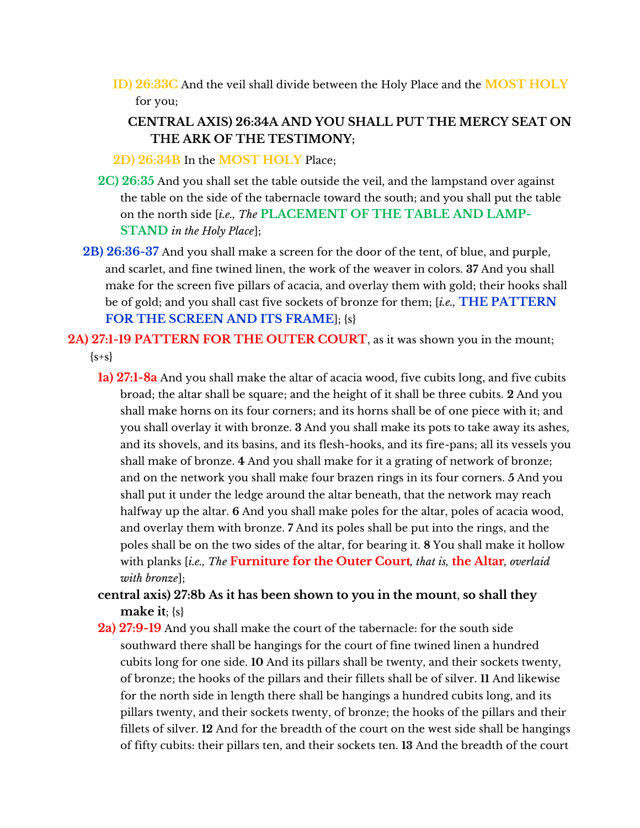**ID) 26:33C** And the veil shall divide between the Holy Place and the **MOST HOLY** for you;

## **CENTRAL AXIS) 26:34A AND YOU SHALL PUT THE MERCY SEAT ON THE ARK OF THE TESTIMONY;**

**2D) 26:34B** In the **MOST HOLY** Place;

- **2C) 26:35** And you shall set the table outside the veil, and the lampstand over against the table on the side of the tabernacle toward the south; and you shall put the table on the north side [*i.e., The* **PLACEMENT OF THE TABLE AND LAMP-STAND** *in the Holy Place*];
- **2B) 26:36-37** And you shall make a screen for the door of the tent, of blue, and purple, and scarlet, and fine twined linen, the work of the weaver in colors. **37** And you shall make for the screen five pillars of acacia, and overlay them with gold; their hooks shall be of gold; and you shall cast five sockets of bronze for them; [*i.e.,* **THE PATTERN FOR THE SCREEN AND ITS FRAME**]; {s}

## **2A) 27:1-19 PATTERN FOR THE OUTER COURT**, as it was shown you in the mount;  ${s+s}$

- **1a) 27:1-8a** And you shall make the altar of acacia wood, five cubits long, and five cubits broad; the altar shall be square; and the height of it shall be three cubits. **2** And you shall make horns on its four corners; and its horns shall be of one piece with it; and you shall overlay it with bronze. **3** And you shall make its pots to take away its ashes, and its shovels, and its basins, and its flesh-hooks, and its fire-pans; all its vessels you shall make of bronze. **4** And you shall make for it a grating of network of bronze; and on the network you shall make four brazen rings in its four corners. **5** And you shall put it under the ledge around the altar beneath, that the network may reach halfway up the altar. **6** And you shall make poles for the altar, poles of acacia wood, and overlay them with bronze. **7** And its poles shall be put into the rings, and the poles shall be on the two sides of the altar, for bearing it. **8** You shall make it hollow with planks [*i.e., The* **Furniture for the Outer Court***, that is,* **the Altar***, overlaid with bronze*];
- **central axis) 27:8b As it has been shown to you in the mount**, **so shall they make it**; {s}
- **2a) 27:9-19** And you shall make the court of the tabernacle: for the south side southward there shall be hangings for the court of fine twined linen a hundred cubits long for one side. **10** And its pillars shall be twenty, and their sockets twenty, of bronze; the hooks of the pillars and their fillets shall be of silver. **11** And likewise for the north side in length there shall be hangings a hundred cubits long, and its pillars twenty, and their sockets twenty, of bronze; the hooks of the pillars and their fillets of silver. **12** And for the breadth of the court on the west side shall be hangings of fifty cubits: their pillars ten, and their sockets ten. **13** And the breadth of the court